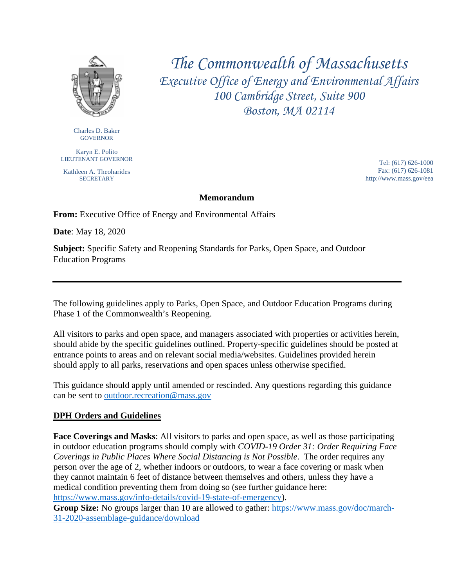

*The Commonwealth of Massachusetts Executive Office of Energy and Environmental Affairs 100 Cambridge Street, Suite 900 Boston, MA 02114*

Charles D. Baker **GOVERNOR** 

Karyn E. Polito LIEUTENANT GOVERNOR

Kathleen A. Theoharides **SECRETARY** 

 Tel: (617) 626-1000 Fax: (617) 626-1081 http://www.mass.gov/eea

#### **Memorandum**

**From:** Executive Office of Energy and Environmental Affairs

**Date**: May 18, 2020

**Subject:** Specific Safety and Reopening Standards for Parks, Open Space, and Outdoor Education Programs

The following guidelines apply to Parks, Open Space, and Outdoor Education Programs during Phase 1 of the Commonwealth's Reopening.

All visitors to parks and open space, and managers associated with properties or activities herein, should abide by the specific guidelines outlined. Property-specific guidelines should be posted at entrance points to areas and on relevant social media/websites. Guidelines provided herein should apply to all parks, reservations and open spaces unless otherwise specified.

This guidance should apply until amended or rescinded. Any questions regarding this guidance can be sent to [outdoor.recreation@mass.gov](mailto:outdoor.recreation@mass.gov)

#### **DPH Orders and Guidelines**

**Face Coverings and Masks**: All visitors to parks and open space, as well as those participating in outdoor education programs should comply with *COVID-19 Order 31: Order Requiring Face Coverings in Public Places Where Social Distancing is Not Possible*. The order requires any person over the age of 2, whether indoors or outdoors, to wear a face covering or mask when they cannot maintain 6 feet of distance between themselves and others, unless they have a medical condition preventing them from doing so (see further guidance here: [https://www.mass.gov/info-details/covid-19-state-of-emergency\)](https://www.mass.gov/info-details/covid-19-state-of-emergency).

**Group Size:** No groups larger than 10 are allowed to gather: [https://www.mass.gov/doc/march-](https://www.mass.gov/doc/march-31-2020-assemblage-guidance/download)[31-2020-assemblage-guidance/download](https://www.mass.gov/doc/march-31-2020-assemblage-guidance/download)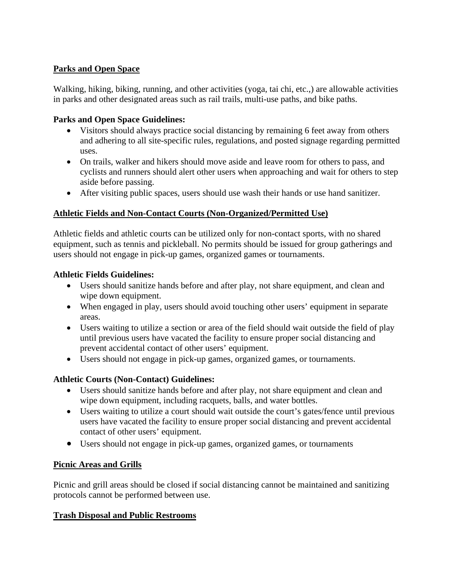## **Parks and Open Space**

Walking, hiking, biking, running, and other activities (yoga, tai chi, etc.,) are allowable activities in parks and other designated areas such as rail trails, multi-use paths, and bike paths.

### **Parks and Open Space Guidelines:**

- Visitors should always practice social distancing by remaining 6 feet away from others and adhering to all site-specific rules, regulations, and posted signage regarding permitted uses.
- On trails, walker and hikers should move aside and leave room for others to pass, and cyclists and runners should alert other users when approaching and wait for others to step aside before passing.
- After visiting public spaces, users should use wash their hands or use hand sanitizer.

# **Athletic Fields and Non-Contact Courts (Non-Organized/Permitted Use)**

Athletic fields and athletic courts can be utilized only for non-contact sports, with no shared equipment, such as tennis and pickleball. No permits should be issued for group gatherings and users should not engage in pick-up games, organized games or tournaments.

### **Athletic Fields Guidelines:**

- Users should sanitize hands before and after play, not share equipment, and clean and wipe down equipment.
- When engaged in play, users should avoid touching other users' equipment in separate areas.
- Users waiting to utilize a section or area of the field should wait outside the field of play until previous users have vacated the facility to ensure proper social distancing and prevent accidental contact of other users' equipment.
- Users should not engage in pick-up games, organized games, or tournaments.

# **Athletic Courts (Non-Contact) Guidelines:**

- Users should sanitize hands before and after play, not share equipment and clean and wipe down equipment, including racquets, balls, and water bottles.
- Users waiting to utilize a court should wait outside the court's gates/fence until previous users have vacated the facility to ensure proper social distancing and prevent accidental contact of other users' equipment.
- Users should not engage in pick-up games, organized games, or tournaments

### **Picnic Areas and Grills**

Picnic and grill areas should be closed if social distancing cannot be maintained and sanitizing protocols cannot be performed between use.

### **Trash Disposal and Public Restrooms**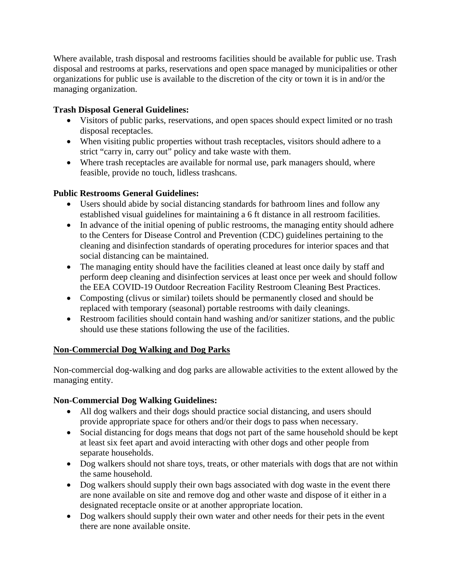Where available, trash disposal and restrooms facilities should be available for public use. Trash disposal and restrooms at parks, reservations and open space managed by municipalities or other organizations for public use is available to the discretion of the city or town it is in and/or the managing organization.

## **Trash Disposal General Guidelines:**

- Visitors of public parks, reservations, and open spaces should expect limited or no trash disposal receptacles.
- When visiting public properties without trash receptacles, visitors should adhere to a strict "carry in, carry out" policy and take waste with them.
- Where trash receptacles are available for normal use, park managers should, where feasible, provide no touch, lidless trashcans.

## **Public Restrooms General Guidelines:**

- Users should abide by social distancing standards for bathroom lines and follow any established visual guidelines for maintaining a 6 ft distance in all restroom facilities.
- In advance of the initial opening of public restrooms, the managing entity should adhere to the Centers for Disease Control and Prevention (CDC) guidelines pertaining to the cleaning and disinfection standards of operating procedures for interior spaces and that social distancing can be maintained.
- The managing entity should have the facilities cleaned at least once daily by staff and perform deep cleaning and disinfection services at least once per week and should follow the EEA COVID-19 Outdoor Recreation Facility Restroom Cleaning Best Practices.
- Composting (clivus or similar) toilets should be permanently closed and should be replaced with temporary (seasonal) portable restrooms with daily cleanings.
- Restroom facilities should contain hand washing and/or sanitizer stations, and the public should use these stations following the use of the facilities.

# **Non-Commercial Dog Walking and Dog Parks**

Non-commercial dog-walking and dog parks are allowable activities to the extent allowed by the managing entity.

# **Non-Commercial Dog Walking Guidelines:**

- All dog walkers and their dogs should practice social distancing, and users should provide appropriate space for others and/or their dogs to pass when necessary.
- Social distancing for dogs means that dogs not part of the same household should be kept at least six feet apart and avoid interacting with other dogs and other people from separate households.
- Dog walkers should not share toys, treats, or other materials with dogs that are not within the same household.
- Dog walkers should supply their own bags associated with dog waste in the event there are none available on site and remove dog and other waste and dispose of it either in a designated receptacle onsite or at another appropriate location.
- Dog walkers should supply their own water and other needs for their pets in the event there are none available onsite.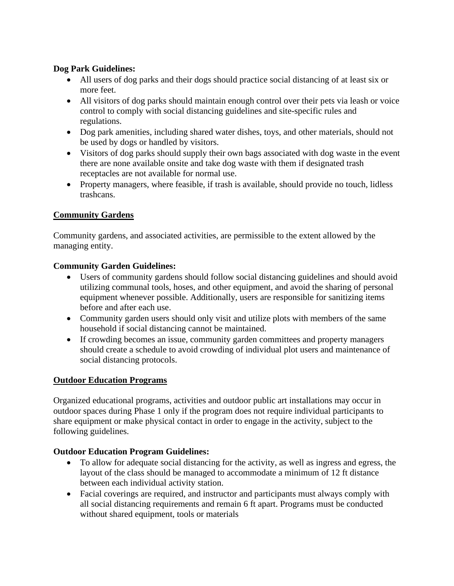## **Dog Park Guidelines:**

- All users of dog parks and their dogs should practice social distancing of at least six or more feet.
- All visitors of dog parks should maintain enough control over their pets via leash or voice control to comply with social distancing guidelines and site-specific rules and regulations.
- Dog park amenities, including shared water dishes, toys, and other materials, should not be used by dogs or handled by visitors.
- Visitors of dog parks should supply their own bags associated with dog waste in the event there are none available onsite and take dog waste with them if designated trash receptacles are not available for normal use.
- Property managers, where feasible, if trash is available, should provide no touch, lidless trashcans.

# **Community Gardens**

Community gardens, and associated activities, are permissible to the extent allowed by the managing entity.

## **Community Garden Guidelines:**

- Users of community gardens should follow social distancing guidelines and should avoid utilizing communal tools, hoses, and other equipment, and avoid the sharing of personal equipment whenever possible. Additionally, users are responsible for sanitizing items before and after each use.
- Community garden users should only visit and utilize plots with members of the same household if social distancing cannot be maintained.
- If crowding becomes an issue, community garden committees and property managers should create a schedule to avoid crowding of individual plot users and maintenance of social distancing protocols.

# **Outdoor Education Programs**

Organized educational programs, activities and outdoor public art installations may occur in outdoor spaces during Phase 1 only if the program does not require individual participants to share equipment or make physical contact in order to engage in the activity, subject to the following guidelines.

# **Outdoor Education Program Guidelines:**

- To allow for adequate social distancing for the activity, as well as ingress and egress, the layout of the class should be managed to accommodate a minimum of 12 ft distance between each individual activity station.
- Facial coverings are required, and instructor and participants must always comply with all social distancing requirements and remain 6 ft apart. Programs must be conducted without shared equipment, tools or materials